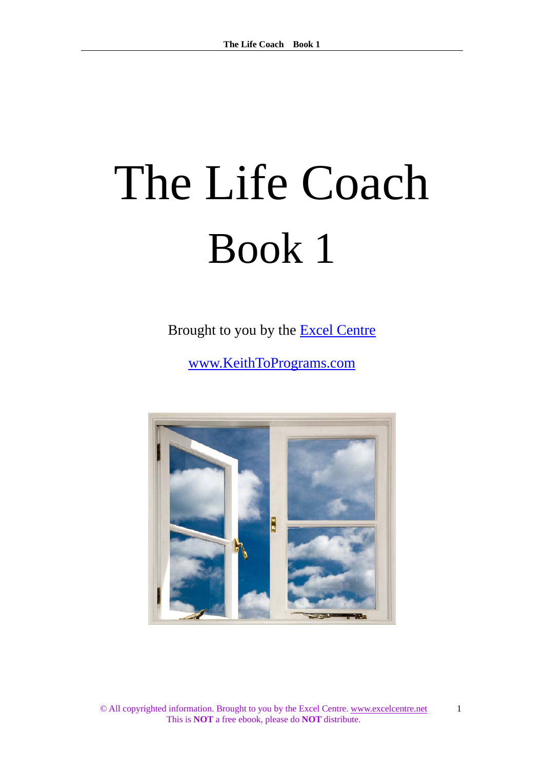# The Life Coach Book 1

Brought to you by the [Excel Centre](http://www.excelcentre.net/)

[www.KeithToPrograms.com](http://www.keithtoprograms.com/) 

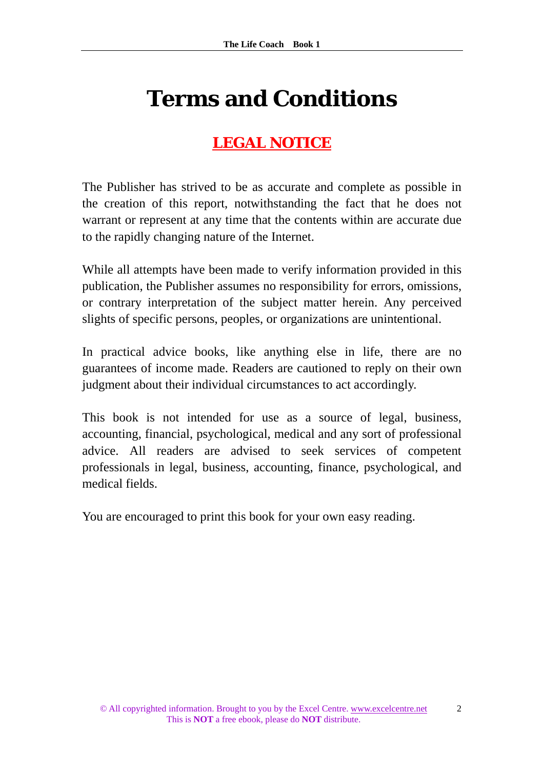## **Terms and Conditions**

## **LEGAL NOTICE**

The Publisher has strived to be as accurate and complete as possible in the creation of this report, notwithstanding the fact that he does not warrant or represent at any time that the contents within are accurate due to the rapidly changing nature of the Internet.

While all attempts have been made to verify information provided in this publication, the Publisher assumes no responsibility for errors, omissions, or contrary interpretation of the subject matter herein. Any perceived slights of specific persons, peoples, or organizations are unintentional.

In practical advice books, like anything else in life, there are no guarantees of income made. Readers are cautioned to reply on their own judgment about their individual circumstances to act accordingly.

This book is not intended for use as a source of legal, business, accounting, financial, psychological, medical and any sort of professional advice. All readers are advised to seek services of competent professionals in legal, business, accounting, finance, psychological, and medical fields.

You are encouraged to print this book for your own easy reading.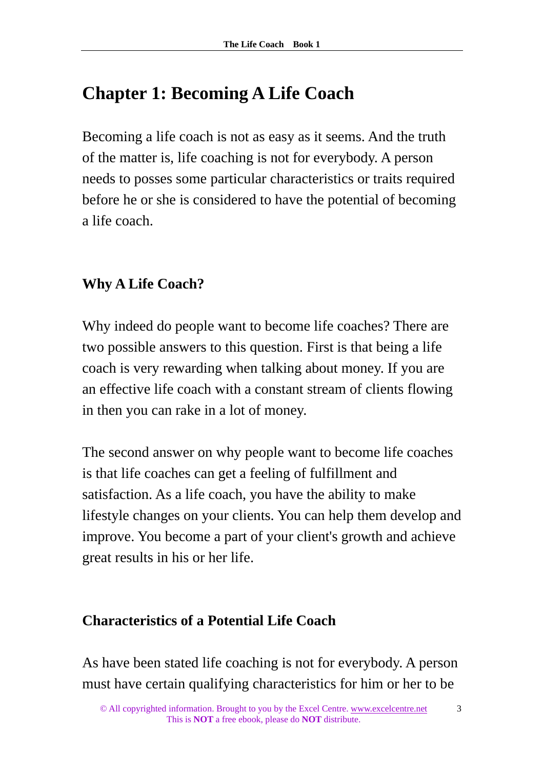## **Chapter 1: Becoming A Life Coach**

Becoming a life coach is not as easy as it seems. And the truth of the matter is, life coaching is not for everybody. A person needs to posses some particular characteristics or traits required before he or she is considered to have the potential of becoming a life coach.

## **Why A Life Coach?**

Why indeed do people want to become life coaches? There are two possible answers to this question. First is that being a life coach is very rewarding when talking about money. If you are an effective life coach with a constant stream of clients flowing in then you can rake in a lot of money.

The second answer on why people want to become life coaches is that life coaches can get a feeling of fulfillment and satisfaction. As a life coach, you have the ability to make lifestyle changes on your clients. You can help them develop and improve. You become a part of your client's growth and achieve great results in his or her life.

## **Characteristics of a Potential Life Coach**

As have been stated life coaching is not for everybody. A person must have certain qualifying characteristics for him or her to be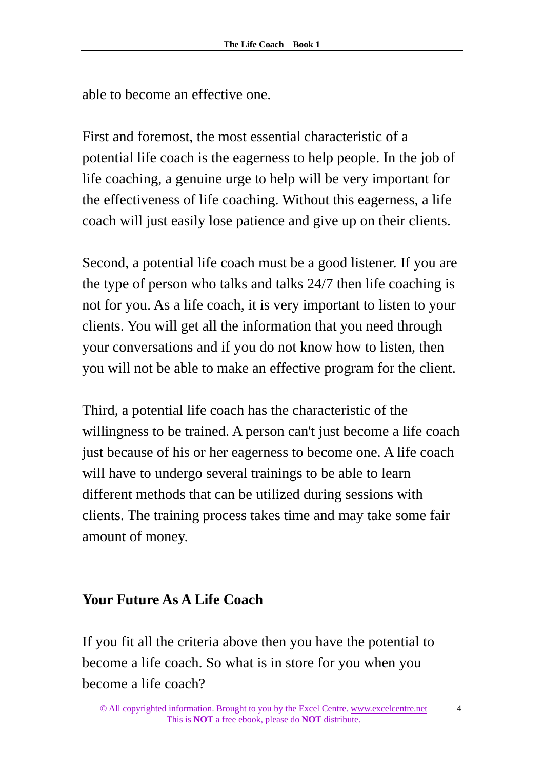able to become an effective one.

First and foremost, the most essential characteristic of a potential life coach is the eagerness to help people. In the job of life coaching, a genuine urge to help will be very important for the effectiveness of life coaching. Without this eagerness, a life coach will just easily lose patience and give up on their clients.

Second, a potential life coach must be a good listener. If you are the type of person who talks and talks 24/7 then life coaching is not for you. As a life coach, it is very important to listen to your clients. You will get all the information that you need through your conversations and if you do not know how to listen, then you will not be able to make an effective program for the client.

Third, a potential life coach has the characteristic of the willingness to be trained. A person can't just become a life coach just because of his or her eagerness to become one. A life coach will have to undergo several trainings to be able to learn different methods that can be utilized during sessions with clients. The training process takes time and may take some fair amount of money.

#### **Your Future As A Life Coach**

If you fit all the criteria above then you have the potential to become a life coach. So what is in store for you when you become a life coach?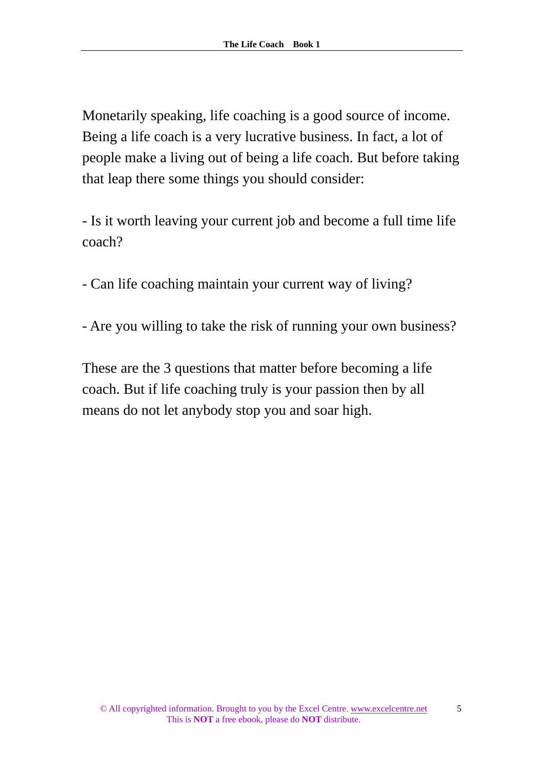Monetarily speaking, life coaching is a good source of income. Being a life coach is a very lucrative business. In fact, a lot of people make a living out of being a life coach. But before taking that leap there some things you should consider:

- Is it worth leaving your current job and become a full time life coach?

- Can life coaching maintain your current way of living?

- Are you willing to take the risk of running your own business?

These are the 3 questions that matter before becoming a life coach. But if life coaching truly is your passion then by all means do not let anybody stop you and soar high.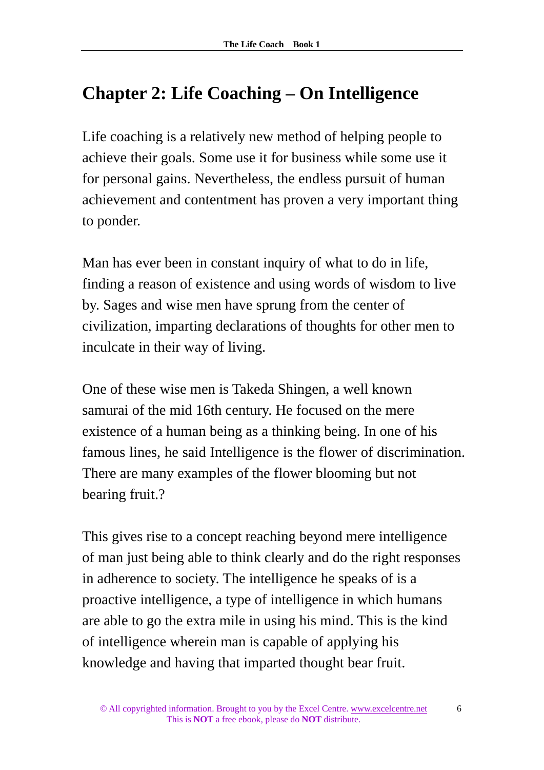## **Chapter 2: Life Coaching – On Intelligence**

Life coaching is a relatively new method of helping people to achieve their goals. Some use it for business while some use it for personal gains. Nevertheless, the endless pursuit of human achievement and contentment has proven a very important thing to ponder.

Man has ever been in constant inquiry of what to do in life, finding a reason of existence and using words of wisdom to live by. Sages and wise men have sprung from the center of civilization, imparting declarations of thoughts for other men to inculcate in their way of living.

One of these wise men is Takeda Shingen, a well known samurai of the mid 16th century. He focused on the mere existence of a human being as a thinking being. In one of his famous lines, he said Intelligence is the flower of discrimination. There are many examples of the flower blooming but not bearing fruit.?

This gives rise to a concept reaching beyond mere intelligence of man just being able to think clearly and do the right responses in adherence to society. The intelligence he speaks of is a proactive intelligence, a type of intelligence in which humans are able to go the extra mile in using his mind. This is the kind of intelligence wherein man is capable of applying his knowledge and having that imparted thought bear fruit.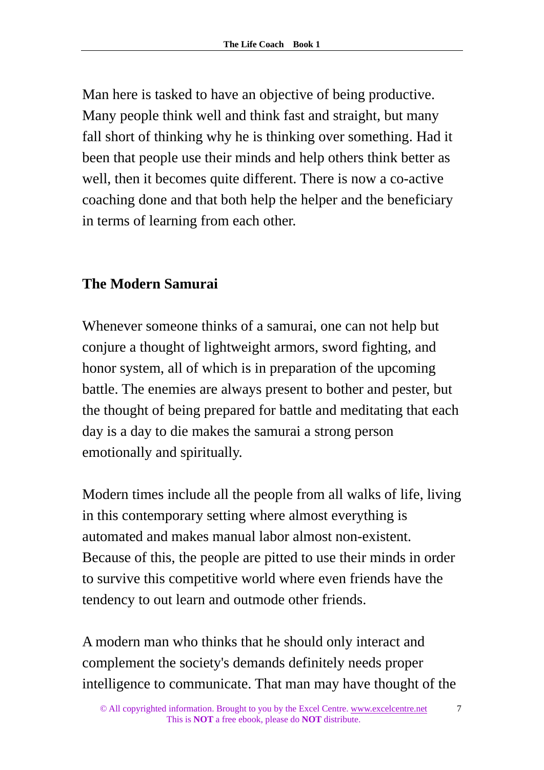Man here is tasked to have an objective of being productive. Many people think well and think fast and straight, but many fall short of thinking why he is thinking over something. Had it been that people use their minds and help others think better as well, then it becomes quite different. There is now a co-active coaching done and that both help the helper and the beneficiary in terms of learning from each other.

## **The Modern Samurai**

Whenever someone thinks of a samurai, one can not help but conjure a thought of lightweight armors, sword fighting, and honor system, all of which is in preparation of the upcoming battle. The enemies are always present to bother and pester, but the thought of being prepared for battle and meditating that each day is a day to die makes the samurai a strong person emotionally and spiritually.

Modern times include all the people from all walks of life, living in this contemporary setting where almost everything is automated and makes manual labor almost non-existent. Because of this, the people are pitted to use their minds in order to survive this competitive world where even friends have the tendency to out learn and outmode other friends.

A modern man who thinks that he should only interact and complement the society's demands definitely needs proper intelligence to communicate. That man may have thought of the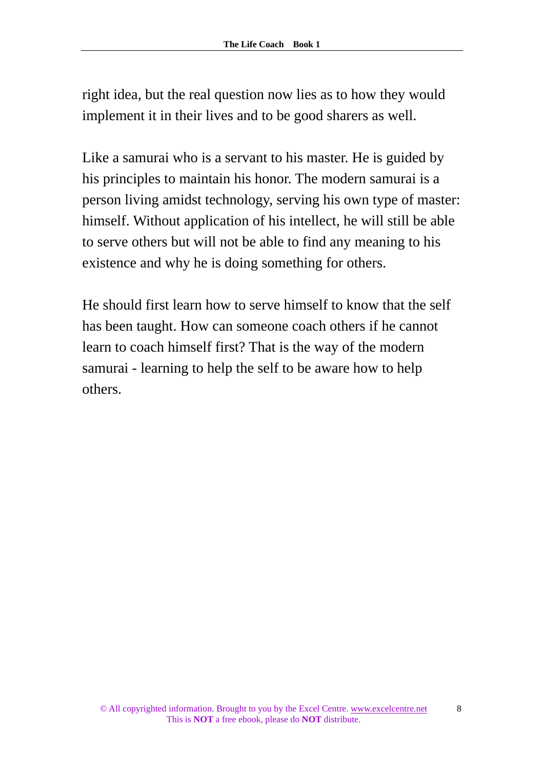right idea, but the real question now lies as to how they would implement it in their lives and to be good sharers as well.

Like a samurai who is a servant to his master. He is guided by his principles to maintain his honor. The modern samurai is a person living amidst technology, serving his own type of master: himself. Without application of his intellect, he will still be able to serve others but will not be able to find any meaning to his existence and why he is doing something for others.

He should first learn how to serve himself to know that the self has been taught. How can someone coach others if he cannot learn to coach himself first? That is the way of the modern samurai - learning to help the self to be aware how to help others.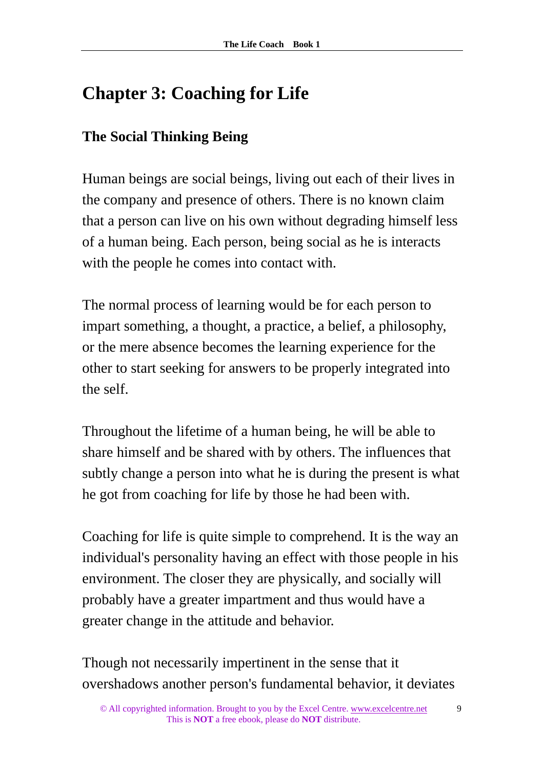## **Chapter 3: Coaching for Life**

## **The Social Thinking Being**

Human beings are social beings, living out each of their lives in the company and presence of others. There is no known claim that a person can live on his own without degrading himself less of a human being. Each person, being social as he is interacts with the people he comes into contact with.

The normal process of learning would be for each person to impart something, a thought, a practice, a belief, a philosophy, or the mere absence becomes the learning experience for the other to start seeking for answers to be properly integrated into the self.

Throughout the lifetime of a human being, he will be able to share himself and be shared with by others. The influences that subtly change a person into what he is during the present is what he got from coaching for life by those he had been with.

Coaching for life is quite simple to comprehend. It is the way an individual's personality having an effect with those people in his environment. The closer they are physically, and socially will probably have a greater impartment and thus would have a greater change in the attitude and behavior.

Though not necessarily impertinent in the sense that it overshadows another person's fundamental behavior, it deviates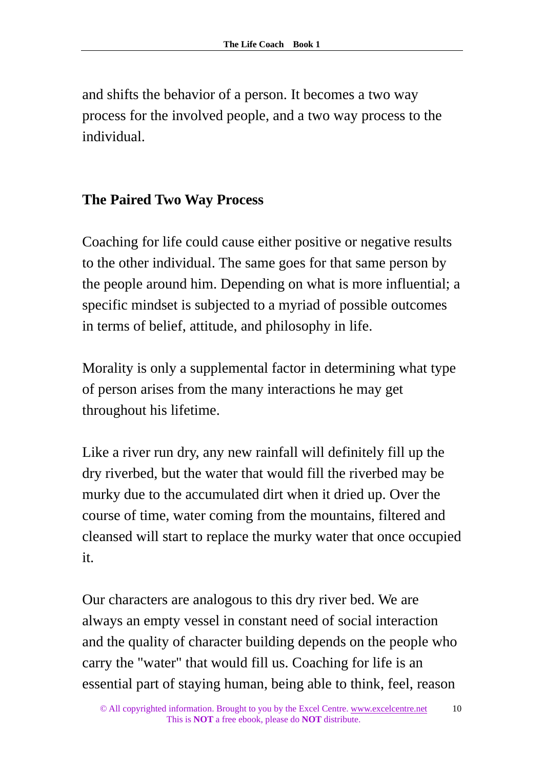and shifts the behavior of a person. It becomes a two way process for the involved people, and a two way process to the individual.

#### **The Paired Two Way Process**

Coaching for life could cause either positive or negative results to the other individual. The same goes for that same person by the people around him. Depending on what is more influential; a specific mindset is subjected to a myriad of possible outcomes in terms of belief, attitude, and philosophy in life.

Morality is only a supplemental factor in determining what type of person arises from the many interactions he may get throughout his lifetime.

Like a river run dry, any new rainfall will definitely fill up the dry riverbed, but the water that would fill the riverbed may be murky due to the accumulated dirt when it dried up. Over the course of time, water coming from the mountains, filtered and cleansed will start to replace the murky water that once occupied it.

Our characters are analogous to this dry river bed. We are always an empty vessel in constant need of social interaction and the quality of character building depends on the people who carry the "water" that would fill us. Coaching for life is an essential part of staying human, being able to think, feel, reason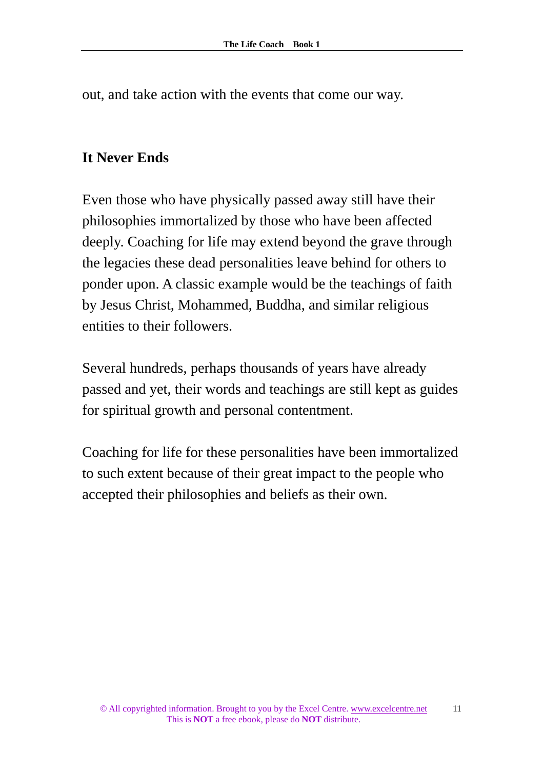out, and take action with the events that come our way.

#### **It Never Ends**

Even those who have physically passed away still have their philosophies immortalized by those who have been affected deeply. Coaching for life may extend beyond the grave through the legacies these dead personalities leave behind for others to ponder upon. A classic example would be the teachings of faith by Jesus Christ, Mohammed, Buddha, and similar religious entities to their followers.

Several hundreds, perhaps thousands of years have already passed and yet, their words and teachings are still kept as guides for spiritual growth and personal contentment.

Coaching for life for these personalities have been immortalized to such extent because of their great impact to the people who accepted their philosophies and beliefs as their own.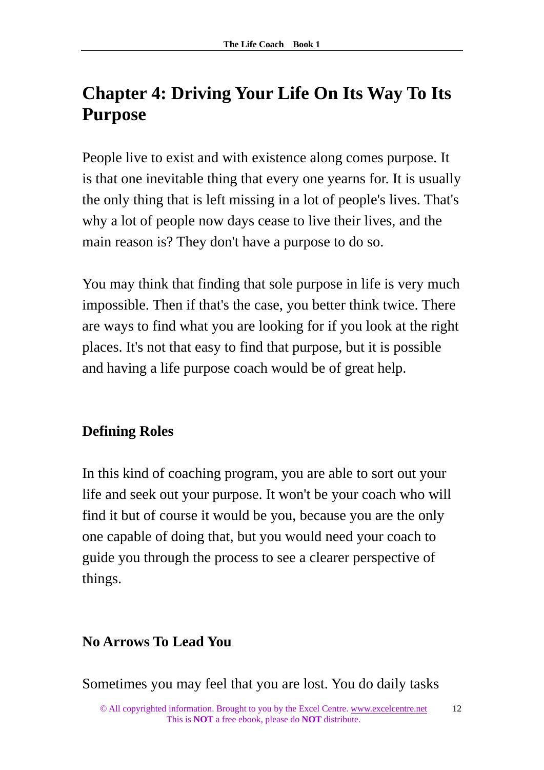## **Chapter 4: Driving Your Life On Its Way To Its Purpose**

People live to exist and with existence along comes purpose. It is that one inevitable thing that every one yearns for. It is usually the only thing that is left missing in a lot of people's lives. That's why a lot of people now days cease to live their lives, and the main reason is? They don't have a purpose to do so.

You may think that finding that sole purpose in life is very much impossible. Then if that's the case, you better think twice. There are ways to find what you are looking for if you look at the right places. It's not that easy to find that purpose, but it is possible and having a life purpose coach would be of great help.

## **Defining Roles**

In this kind of coaching program, you are able to sort out your life and seek out your purpose. It won't be your coach who will find it but of course it would be you, because you are the only one capable of doing that, but you would need your coach to guide you through the process to see a clearer perspective of things.

## **No Arrows To Lead You**

Sometimes you may feel that you are lost. You do daily tasks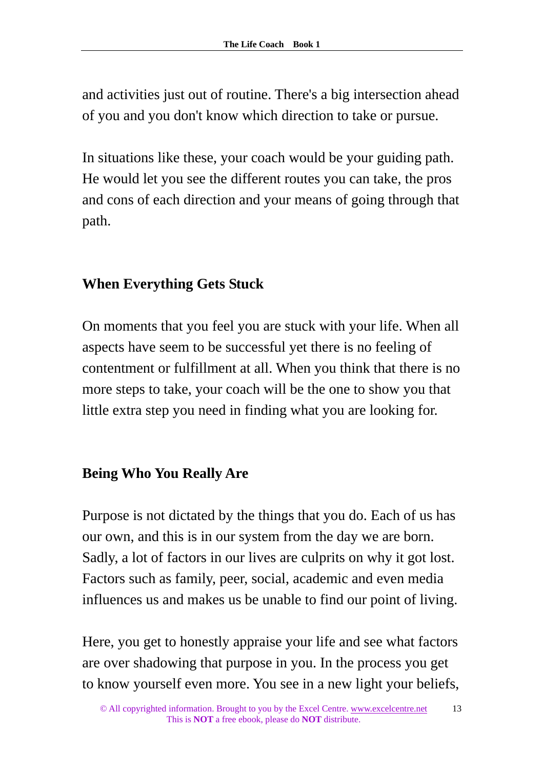and activities just out of routine. There's a big intersection ahead of you and you don't know which direction to take or pursue.

In situations like these, your coach would be your guiding path. He would let you see the different routes you can take, the pros and cons of each direction and your means of going through that path.

## **When Everything Gets Stuck**

On moments that you feel you are stuck with your life. When all aspects have seem to be successful yet there is no feeling of contentment or fulfillment at all. When you think that there is no more steps to take, your coach will be the one to show you that little extra step you need in finding what you are looking for.

## **Being Who You Really Are**

Purpose is not dictated by the things that you do. Each of us has our own, and this is in our system from the day we are born. Sadly, a lot of factors in our lives are culprits on why it got lost. Factors such as family, peer, social, academic and even media influences us and makes us be unable to find our point of living.

Here, you get to honestly appraise your life and see what factors are over shadowing that purpose in you. In the process you get to know yourself even more. You see in a new light your beliefs,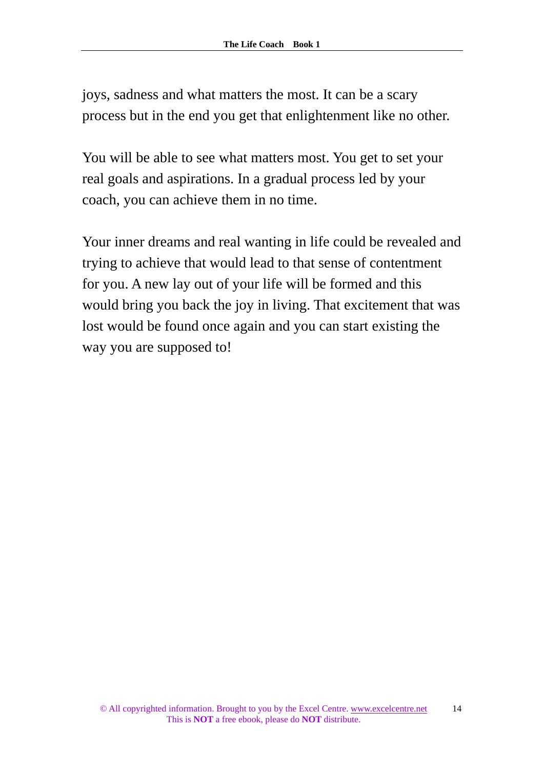joys, sadness and what matters the most. It can be a scary process but in the end you get that enlightenment like no other.

You will be able to see what matters most. You get to set your real goals and aspirations. In a gradual process led by your coach, you can achieve them in no time.

Your inner dreams and real wanting in life could be revealed and trying to achieve that would lead to that sense of contentment for you. A new lay out of your life will be formed and this would bring you back the joy in living. That excitement that was lost would be found once again and you can start existing the way you are supposed to!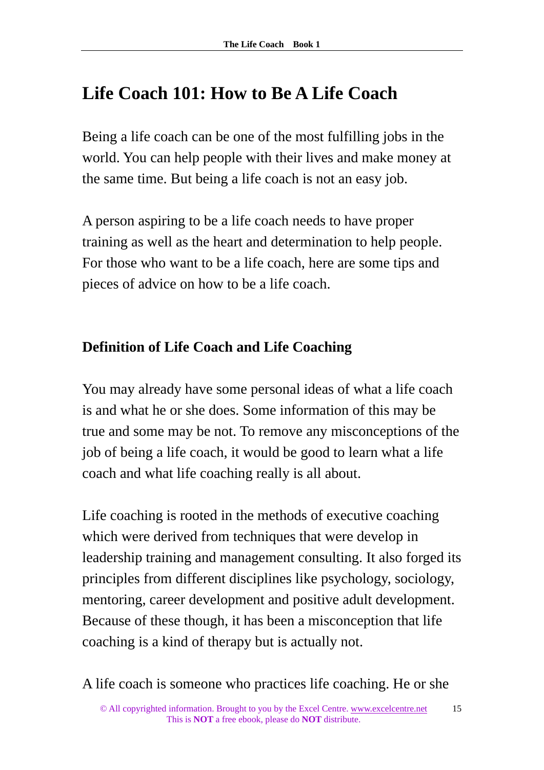## **Life Coach 101: How to Be A Life Coach**

Being a life coach can be one of the most fulfilling jobs in the world. You can help people with their lives and make money at the same time. But being a life coach is not an easy job.

A person aspiring to be a life coach needs to have proper training as well as the heart and determination to help people. For those who want to be a life coach, here are some tips and pieces of advice on how to be a life coach.

## **Definition of Life Coach and Life Coaching**

You may already have some personal ideas of what a life coach is and what he or she does. Some information of this may be true and some may be not. To remove any misconceptions of the job of being a life coach, it would be good to learn what a life coach and what life coaching really is all about.

Life coaching is rooted in the methods of executive coaching which were derived from techniques that were develop in leadership training and management consulting. It also forged its principles from different disciplines like psychology, sociology, mentoring, career development and positive adult development. Because of these though, it has been a misconception that life coaching is a kind of therapy but is actually not.

A life coach is someone who practices life coaching. He or she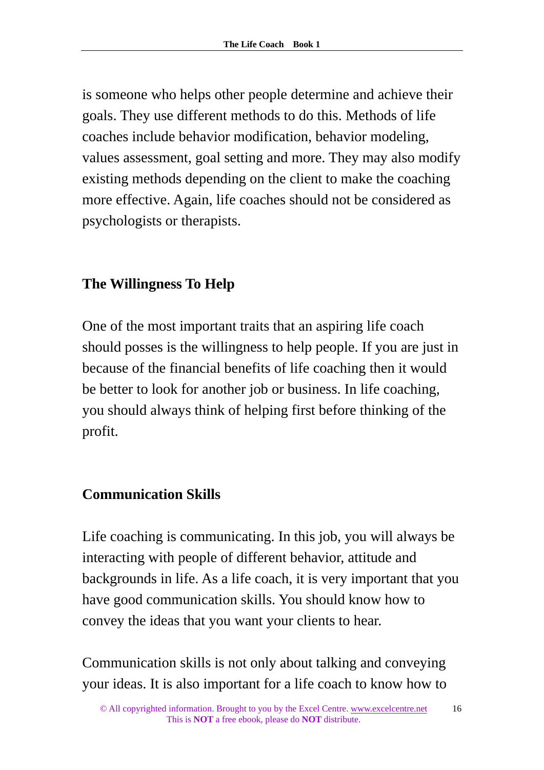is someone who helps other people determine and achieve their goals. They use different methods to do this. Methods of life coaches include behavior modification, behavior modeling, values assessment, goal setting and more. They may also modify existing methods depending on the client to make the coaching more effective. Again, life coaches should not be considered as psychologists or therapists.

## **The Willingness To Help**

One of the most important traits that an aspiring life coach should posses is the willingness to help people. If you are just in because of the financial benefits of life coaching then it would be better to look for another job or business. In life coaching, you should always think of helping first before thinking of the profit.

## **Communication Skills**

Life coaching is communicating. In this job, you will always be interacting with people of different behavior, attitude and backgrounds in life. As a life coach, it is very important that you have good communication skills. You should know how to convey the ideas that you want your clients to hear.

Communication skills is not only about talking and conveying your ideas. It is also important for a life coach to know how to